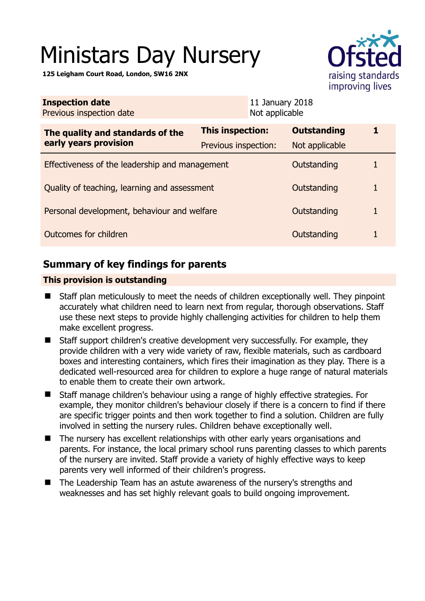# Ministars Day Nursery

**125 Leigham Court Road, London, SW16 2NX** 



| <b>Inspection date</b><br>Previous inspection date        | 11 January 2018<br>Not applicable |                    |   |  |
|-----------------------------------------------------------|-----------------------------------|--------------------|---|--|
| The quality and standards of the<br>early years provision | <b>This inspection:</b>           | <b>Outstanding</b> | 1 |  |
|                                                           | Previous inspection:              | Not applicable     |   |  |
| Effectiveness of the leadership and management            |                                   | Outstanding        | 1 |  |
| Quality of teaching, learning and assessment              |                                   | Outstanding        | 1 |  |
| Personal development, behaviour and welfare               |                                   | Outstanding        | 1 |  |
| Outcomes for children                                     |                                   | Outstanding        | 1 |  |
|                                                           |                                   |                    |   |  |

## **Summary of key findings for parents**

## **This provision is outstanding**

- Staff plan meticulously to meet the needs of children exceptionally well. They pinpoint accurately what children need to learn next from regular, thorough observations. Staff use these next steps to provide highly challenging activities for children to help them make excellent progress.
- Staff support children's creative development very successfully. For example, they provide children with a very wide variety of raw, flexible materials, such as cardboard boxes and interesting containers, which fires their imagination as they play. There is a dedicated well-resourced area for children to explore a huge range of natural materials to enable them to create their own artwork.
- Staff manage children's behaviour using a range of highly effective strategies. For example, they monitor children's behaviour closely if there is a concern to find if there are specific trigger points and then work together to find a solution. Children are fully involved in setting the nursery rules. Children behave exceptionally well.
- The nursery has excellent relationships with other early years organisations and parents. For instance, the local primary school runs parenting classes to which parents of the nursery are invited. Staff provide a variety of highly effective ways to keep parents very well informed of their children's progress.
- The Leadership Team has an astute awareness of the nursery's strengths and weaknesses and has set highly relevant goals to build ongoing improvement.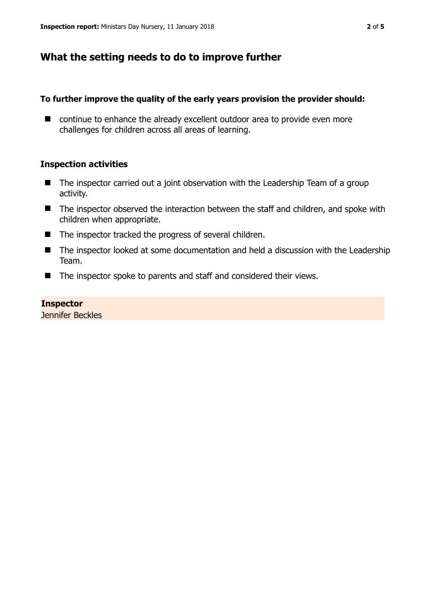## **What the setting needs to do to improve further**

## **To further improve the quality of the early years provision the provider should:**

■ continue to enhance the already excellent outdoor area to provide even more challenges for children across all areas of learning.

## **Inspection activities**

- The inspector carried out a joint observation with the Leadership Team of a group activity.
- The inspector observed the interaction between the staff and children, and spoke with children when appropriate.
- The inspector tracked the progress of several children.
- The inspector looked at some documentation and held a discussion with the Leadership Team.
- The inspector spoke to parents and staff and considered their views.

## **Inspector**

Jennifer Beckles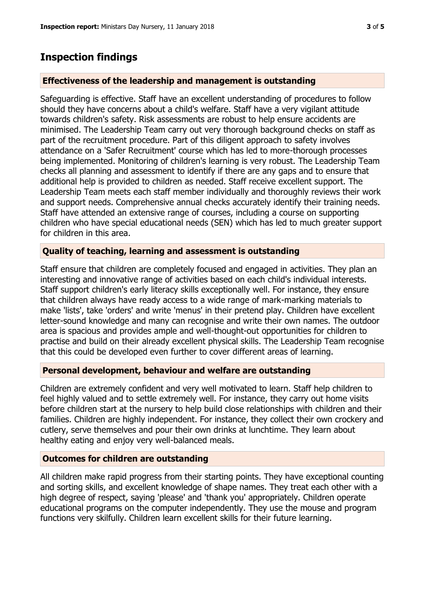## **Inspection findings**

#### **Effectiveness of the leadership and management is outstanding**

Safeguarding is effective. Staff have an excellent understanding of procedures to follow should they have concerns about a child's welfare. Staff have a very vigilant attitude towards children's safety. Risk assessments are robust to help ensure accidents are minimised. The Leadership Team carry out very thorough background checks on staff as part of the recruitment procedure. Part of this diligent approach to safety involves attendance on a 'Safer Recruitment' course which has led to more-thorough processes being implemented. Monitoring of children's learning is very robust. The Leadership Team checks all planning and assessment to identify if there are any gaps and to ensure that additional help is provided to children as needed. Staff receive excellent support. The Leadership Team meets each staff member individually and thoroughly reviews their work and support needs. Comprehensive annual checks accurately identify their training needs. Staff have attended an extensive range of courses, including a course on supporting children who have special educational needs (SEN) which has led to much greater support for children in this area.

#### **Quality of teaching, learning and assessment is outstanding**

Staff ensure that children are completely focused and engaged in activities. They plan an interesting and innovative range of activities based on each child's individual interests. Staff support children's early literacy skills exceptionally well. For instance, they ensure that children always have ready access to a wide range of mark-marking materials to make 'lists', take 'orders' and write 'menus' in their pretend play. Children have excellent letter-sound knowledge and many can recognise and write their own names. The outdoor area is spacious and provides ample and well-thought-out opportunities for children to practise and build on their already excellent physical skills. The Leadership Team recognise that this could be developed even further to cover different areas of learning.

#### **Personal development, behaviour and welfare are outstanding**

Children are extremely confident and very well motivated to learn. Staff help children to feel highly valued and to settle extremely well. For instance, they carry out home visits before children start at the nursery to help build close relationships with children and their families. Children are highly independent. For instance, they collect their own crockery and cutlery, serve themselves and pour their own drinks at lunchtime. They learn about healthy eating and enjoy very well-balanced meals.

#### **Outcomes for children are outstanding**

All children make rapid progress from their starting points. They have exceptional counting and sorting skills, and excellent knowledge of shape names. They treat each other with a high degree of respect, saying 'please' and 'thank you' appropriately. Children operate educational programs on the computer independently. They use the mouse and program functions very skilfully. Children learn excellent skills for their future learning.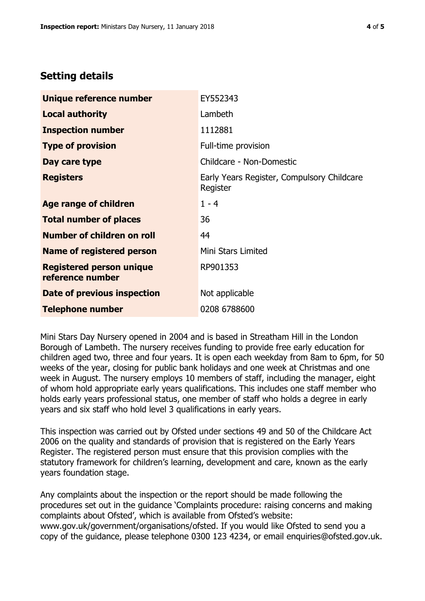## **Setting details**

| Unique reference number                             | EY552343                                               |  |
|-----------------------------------------------------|--------------------------------------------------------|--|
| <b>Local authority</b>                              | Lambeth                                                |  |
| <b>Inspection number</b>                            | 1112881                                                |  |
| <b>Type of provision</b>                            | Full-time provision                                    |  |
| Day care type                                       | Childcare - Non-Domestic                               |  |
| <b>Registers</b>                                    | Early Years Register, Compulsory Childcare<br>Register |  |
| Age range of children                               | $1 - 4$                                                |  |
| <b>Total number of places</b>                       | 36                                                     |  |
| Number of children on roll                          | 44                                                     |  |
| Name of registered person                           | Mini Stars Limited                                     |  |
| <b>Registered person unique</b><br>reference number | RP901353                                               |  |
| <b>Date of previous inspection</b>                  | Not applicable                                         |  |
| <b>Telephone number</b>                             | 0208 6788600                                           |  |

Mini Stars Day Nursery opened in 2004 and is based in Streatham Hill in the London Borough of Lambeth. The nursery receives funding to provide free early education for children aged two, three and four years. It is open each weekday from 8am to 6pm, for 50 weeks of the year, closing for public bank holidays and one week at Christmas and one week in August. The nursery employs 10 members of staff, including the manager, eight of whom hold appropriate early years qualifications. This includes one staff member who holds early years professional status, one member of staff who holds a degree in early years and six staff who hold level 3 qualifications in early years.

This inspection was carried out by Ofsted under sections 49 and 50 of the Childcare Act 2006 on the quality and standards of provision that is registered on the Early Years Register. The registered person must ensure that this provision complies with the statutory framework for children's learning, development and care, known as the early years foundation stage.

Any complaints about the inspection or the report should be made following the procedures set out in the guidance 'Complaints procedure: raising concerns and making complaints about Ofsted', which is available from Ofsted's website: www.gov.uk/government/organisations/ofsted. If you would like Ofsted to send you a copy of the guidance, please telephone 0300 123 4234, or email enquiries@ofsted.gov.uk.